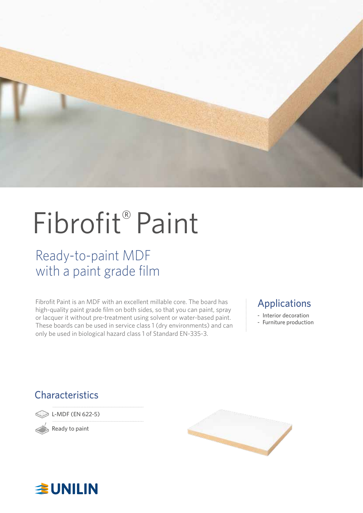

# Fibrofit® Paint

### Ready-to-paint MDF with a paint grade film

Fibrofit Paint is an MDF with an excellent millable core. The board has high-quality paint grade film on both sides, so that you can paint, spray or lacquer it without pre-treatment using solvent or water-based paint. These boards can be used in service class 1 (dry environments) and can only be used in biological hazard class 1 of Standard EN-335-3.

### Applications

- Interior decoration
- Furniture production

### **Characteristics**

L-MDF (EN 622-5)

Ready to paint